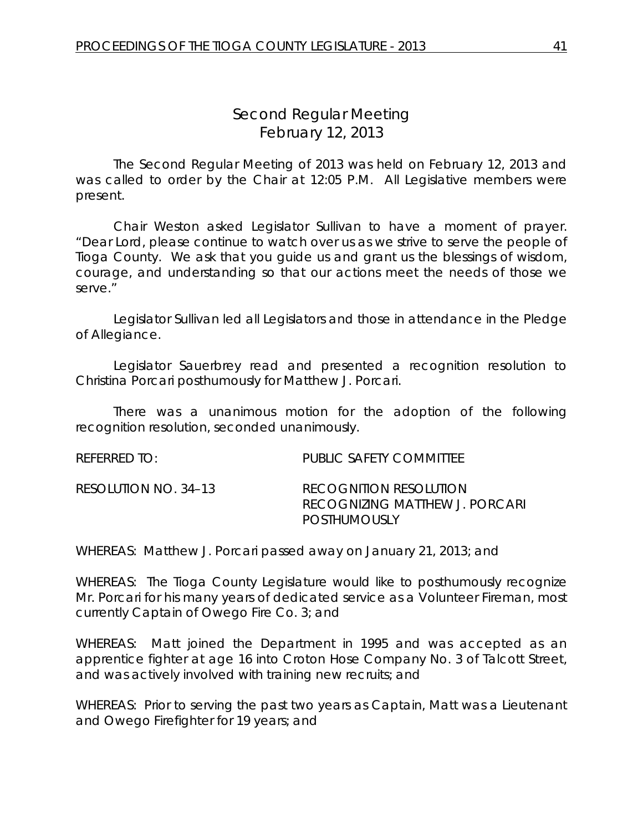# *Second Regular Meeting* February 12, 2013

The Second Regular Meeting of 2013 was held on February 12, 2013 and was called to order by the Chair at 12:05 P.M. All Legislative members were present.

Chair Weston asked Legislator Sullivan to have a moment of prayer. "Dear Lord, please continue to watch over us as we strive to serve the people of Tioga County. We ask that you guide us and grant us the blessings of wisdom, courage, and understanding so that our actions meet the needs of those we serve."

Legislator Sullivan led all Legislators and those in attendance in the Pledge of Allegiance.

Legislator Sauerbrey read and presented a recognition resolution to Christina Porcari posthumously for Matthew J. Porcari.

There was a unanimous motion for the adoption of the following recognition resolution, seconded unanimously.

| REFERRED TO:         | PUBLIC SAFETY COMMITTEE                                                  |
|----------------------|--------------------------------------------------------------------------|
| RESOLUTION NO. 34–13 | RECOGNITION RESOLUTION<br>RECOGNIZING MATTHEW J. PORCARI<br>POSTHUMOUSLY |

WHEREAS: Matthew J. Porcari passed away on January 21, 2013; and

WHEREAS: The Tioga County Legislature would like to posthumously recognize Mr. Porcari for his many years of dedicated service as a Volunteer Fireman, most currently Captain of Owego Fire Co. 3; and

WHEREAS: Matt joined the Department in 1995 and was accepted as an apprentice fighter at age 16 into Croton Hose Company No. 3 of Talcott Street, and was actively involved with training new recruits; and

WHEREAS: Prior to serving the past two years as Captain, Matt was a Lieutenant and Owego Firefighter for 19 years; and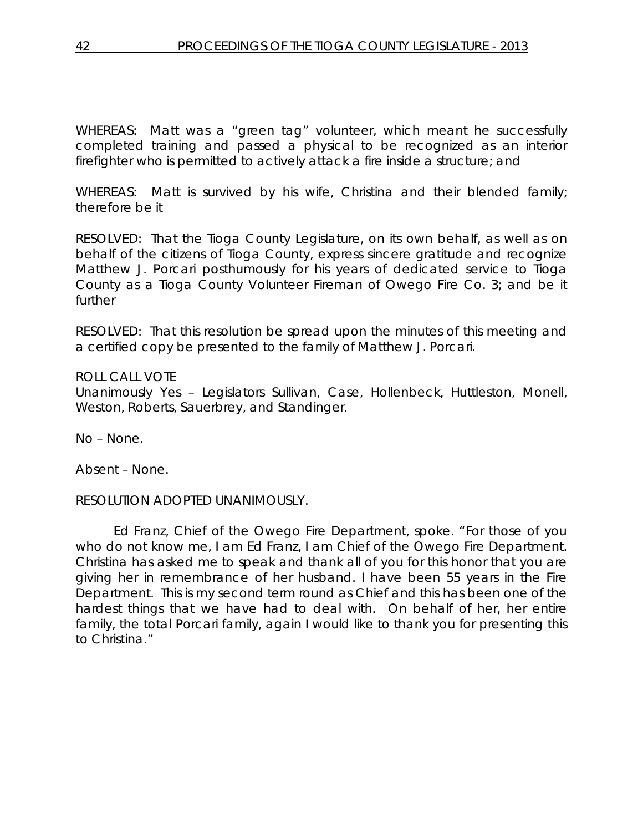WHEREAS: Matt was a "green tag" volunteer, which meant he successfully completed training and passed a physical to be recognized as an interior firefighter who is permitted to actively attack a fire inside a structure; and

WHEREAS: Matt is survived by his wife, Christina and their blended family; therefore be it

RESOLVED: That the Tioga County Legislature, on its own behalf, as well as on behalf of the citizens of Tioga County, express sincere gratitude and recognize Matthew J. Porcari posthumously for his years of dedicated service to Tioga County as a Tioga County Volunteer Fireman of Owego Fire Co. 3; and be it further

RESOLVED: That this resolution be spread upon the minutes of this meeting and a certified copy be presented to the family of Matthew J. Porcari.

### ROLL CALL VOTE

Unanimously Yes – Legislators Sullivan, Case, Hollenbeck, Huttleston, Monell, Weston, Roberts, Sauerbrey, and Standinger.

No – None.

Absent – None.

### RESOLUTION ADOPTED UNANIMOUSLY.

Ed Franz, Chief of the Owego Fire Department, spoke. "For those of you who do not know me, I am Ed Franz, I am Chief of the Owego Fire Department. Christina has asked me to speak and thank all of you for this honor that you are giving her in remembrance of her husband. I have been 55 years in the Fire Department. This is my second term round as Chief and this has been one of the hardest things that we have had to deal with. On behalf of her, her entire family, the total Porcari family, again I would like to thank you for presenting this to Christina."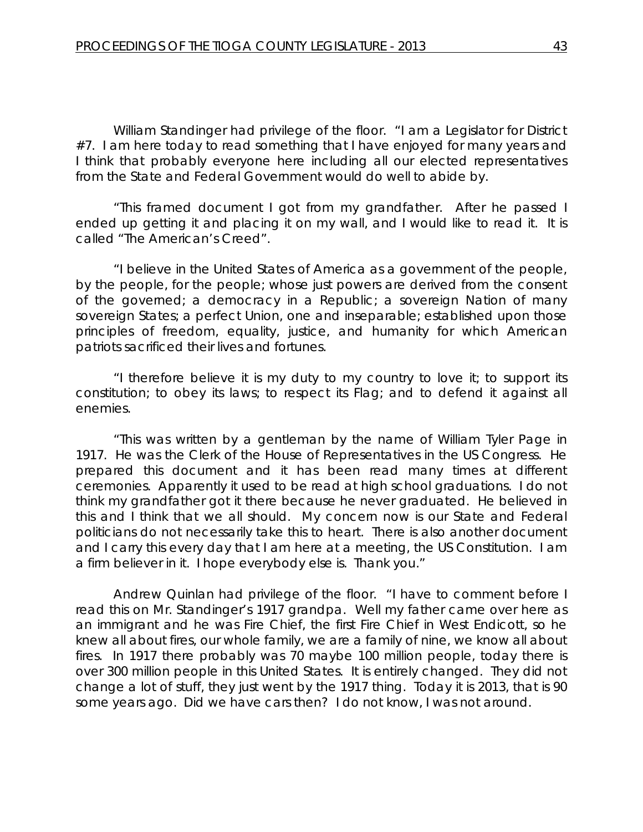William Standinger had privilege of the floor. "I am a Legislator for District #7. I am here today to read something that I have enjoyed for many years and I think that probably everyone here including all our elected representatives from the State and Federal Government would do well to abide by.

"This framed document I got from my grandfather. After he passed I ended up getting it and placing it on my wall, and I would like to read it. It is called "The American's Creed".

"I believe in the United States of America as a government of the people, by the people, for the people; whose just powers are derived from the consent of the governed; a democracy in a Republic; a sovereign Nation of many sovereign States; a perfect Union, one and inseparable; established upon those principles of freedom, equality, justice, and humanity for which American patriots sacrificed their lives and fortunes.

"I therefore believe it is my duty to my country to love it; to support its constitution; to obey its laws; to respect its Flag; and to defend it against all enemies.

"This was written by a gentleman by the name of William Tyler Page in 1917. He was the Clerk of the House of Representatives in the US Congress. He prepared this document and it has been read many times at different ceremonies. Apparently it used to be read at high school graduations. I do not think my grandfather got it there because he never graduated. He believed in this and I think that we all should. My concern now is our State and Federal politicians do not necessarily take this to heart. There is also another document and I carry this every day that I am here at a meeting, the US Constitution. I am a firm believer in it. I hope everybody else is. Thank you."

Andrew Quinlan had privilege of the floor. "I have to comment before I read this on Mr. Standinger's 1917 grandpa. Well my father came over here as an immigrant and he was Fire Chief, the first Fire Chief in West Endicott, so he knew all about fires, our whole family, we are a family of nine, we know all about fires. In 1917 there probably was 70 maybe 100 million people, today there is over 300 million people in this United States. It is entirely changed. They did not change a lot of stuff, they just went by the 1917 thing. Today it is 2013, that is 90 some years ago. Did we have cars then? I do not know, I was not around.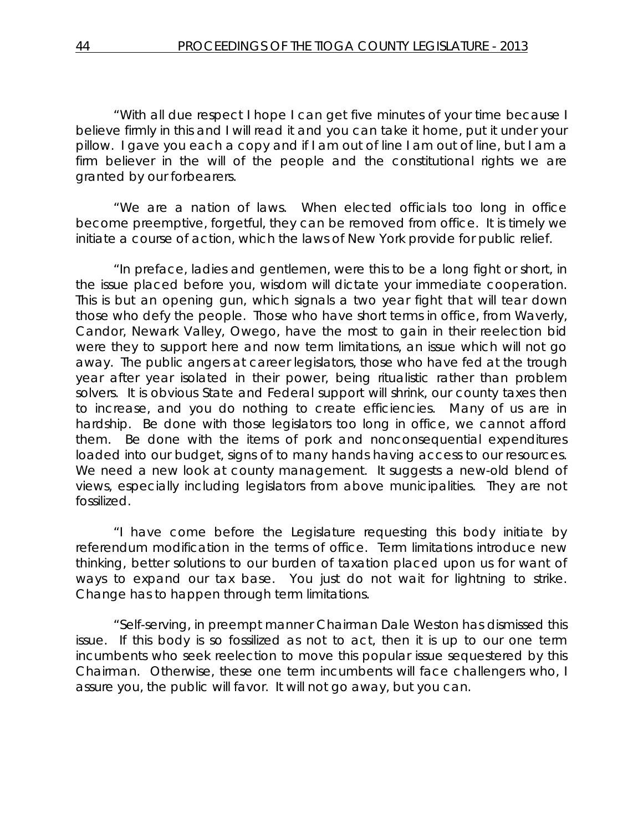"With all due respect I hope I can get five minutes of your time because I believe firmly in this and I will read it and you can take it home, put it under your pillow. I gave you each a copy and if I am out of line I am out of line, but I am a firm believer in the will of the people and the constitutional rights we are granted by our forbearers.

"We are a nation of laws. When elected officials too long in office become preemptive, forgetful, they can be removed from office. It is timely we initiate a course of action, which the laws of New York provide for public relief.

"In preface, ladies and gentlemen, were this to be a long fight or short, in the issue placed before you, wisdom will dictate your immediate cooperation. This is but an opening gun, which signals a two year fight that will tear down those who defy the people. Those who have short terms in office, from Waverly, Candor, Newark Valley, Owego, have the most to gain in their reelection bid were they to support here and now term limitations, an issue which will not go away. The public angers at career legislators, those who have fed at the trough year after year isolated in their power, being ritualistic rather than problem solvers. It is obvious State and Federal support will shrink, our county taxes then to increase, and you do nothing to create efficiencies. Many of us are in hardship. Be done with those legislators too long in office, we cannot afford them. Be done with the items of pork and nonconsequential expenditures loaded into our budget, signs of to many hands having access to our resources. We need a new look at county management. It suggests a new-old blend of views, especially including legislators from above municipalities. They are not fossilized.

"I have come before the Legislature requesting this body initiate by referendum modification in the terms of office. Term limitations introduce new thinking, better solutions to our burden of taxation placed upon us for want of ways to expand our tax base. You just do not wait for lightning to strike. Change has to happen through term limitations.

"Self-serving, in preempt manner Chairman Dale Weston has dismissed this issue. If this body is so fossilized as not to act, then it is up to our one term incumbents who seek reelection to move this popular issue sequestered by this Chairman. Otherwise, these one term incumbents will face challengers who, I assure you, the public will favor. It will not go away, but you can.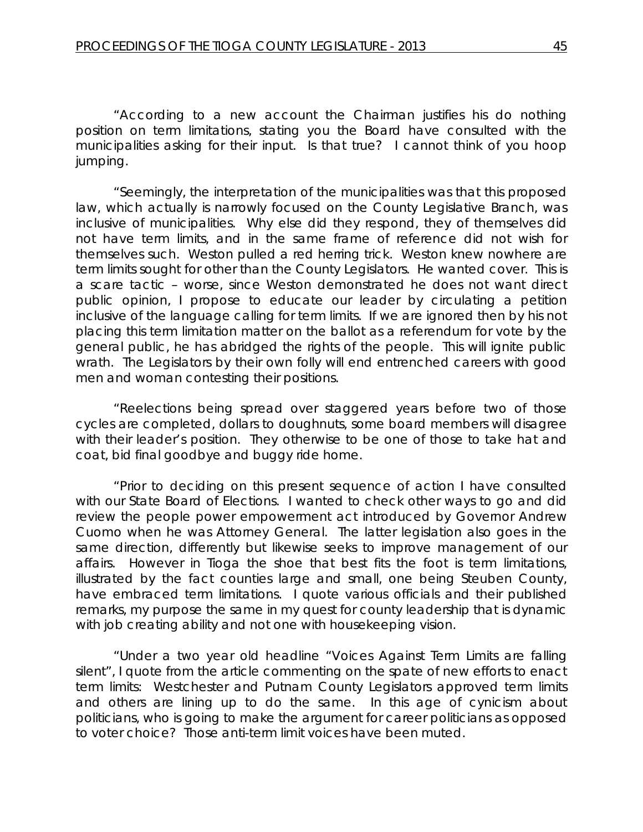"According to a new account the Chairman justifies his do nothing position on term limitations, stating you the Board have consulted with the municipalities asking for their input. Is that true? I cannot think of you hoop jumping.

"Seemingly, the interpretation of the municipalities was that this proposed law, which actually is narrowly focused on the County Legislative Branch, was inclusive of municipalities. Why else did they respond, they of themselves did not have term limits, and in the same frame of reference did not wish for themselves such. Weston pulled a red herring trick. Weston knew nowhere are term limits sought for other than the County Legislators. He wanted cover. This is a scare tactic – worse, since Weston demonstrated he does not want direct public opinion, I propose to educate our leader by circulating a petition inclusive of the language calling for term limits. If we are ignored then by his not placing this term limitation matter on the ballot as a referendum for vote by the general public, he has abridged the rights of the people. This will ignite public wrath. The Legislators by their own folly will end entrenched careers with good men and woman contesting their positions.

"Reelections being spread over staggered years before two of those cycles are completed, dollars to doughnuts, some board members will disagree with their leader's position. They otherwise to be one of those to take hat and coat, bid final goodbye and buggy ride home.

"Prior to deciding on this present sequence of action I have consulted with our State Board of Elections. I wanted to check other ways to go and did review the people power empowerment act introduced by Governor Andrew Cuomo when he was Attorney General. The latter legislation also goes in the same direction, differently but likewise seeks to improve management of our affairs. However in Tioga the shoe that best fits the foot is term limitations, illustrated by the fact counties large and small, one being Steuben County, have embraced term limitations. I quote various officials and their published remarks, my purpose the same in my quest for county leadership that is dynamic with job creating ability and not one with housekeeping vision.

"Under a two year old headline "Voices Against Term Limits are falling silent", I quote from the article commenting on the spate of new efforts to enact term limits: Westchester and Putnam County Legislators approved term limits and others are lining up to do the same. In this age of cynicism about politicians, who is going to make the argument for career politicians as opposed to voter choice? Those anti-term limit voices have been muted.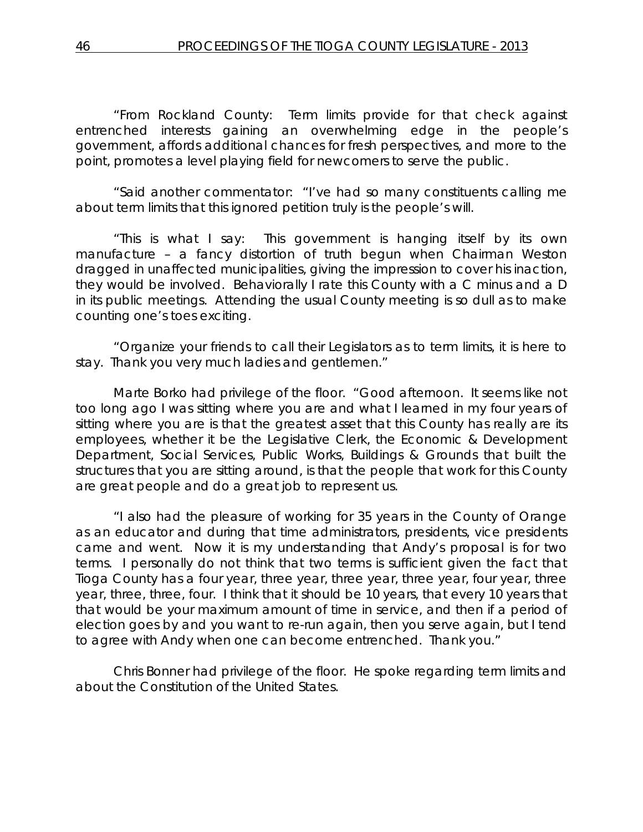"From Rockland County: Term limits provide for that check against entrenched interests gaining an overwhelming edge in the people's government, affords additional chances for fresh perspectives, and more to the point, promotes a level playing field for newcomers to serve the public.

"Said another commentator: "I've had so many constituents calling me about term limits that this ignored petition truly is the people's will.

"This is what I say: This government is hanging itself by its own manufacture – a fancy distortion of truth begun when Chairman Weston dragged in unaffected municipalities, giving the impression to cover his inaction, they would be involved. Behaviorally I rate this County with a C minus and a D in its public meetings. Attending the usual County meeting is so dull as to make counting one's toes exciting.

"Organize your friends to call their Legislators as to term limits, it is here to stay. Thank you very much ladies and gentlemen."

Marte Borko had privilege of the floor. "Good afternoon. It seems like not too long ago I was sitting where you are and what I learned in my four years of sitting where you are is that the greatest asset that this County has really are its employees, whether it be the Legislative Clerk, the Economic & Development Department, Social Services, Public Works, Buildings & Grounds that built the structures that you are sitting around, is that the people that work for this County are great people and do a great job to represent us.

"I also had the pleasure of working for 35 years in the County of Orange as an educator and during that time administrators, presidents, vice presidents came and went. Now it is my understanding that Andy's proposal is for two terms. I personally do not think that two terms is sufficient given the fact that Tioga County has a four year, three year, three year, three year, four year, three year, three, three, four. I think that it should be 10 years, that every 10 years that that would be your maximum amount of time in service, and then if a period of election goes by and you want to re-run again, then you serve again, but I tend to agree with Andy when one can become entrenched. Thank you."

Chris Bonner had privilege of the floor. He spoke regarding term limits and about the Constitution of the United States.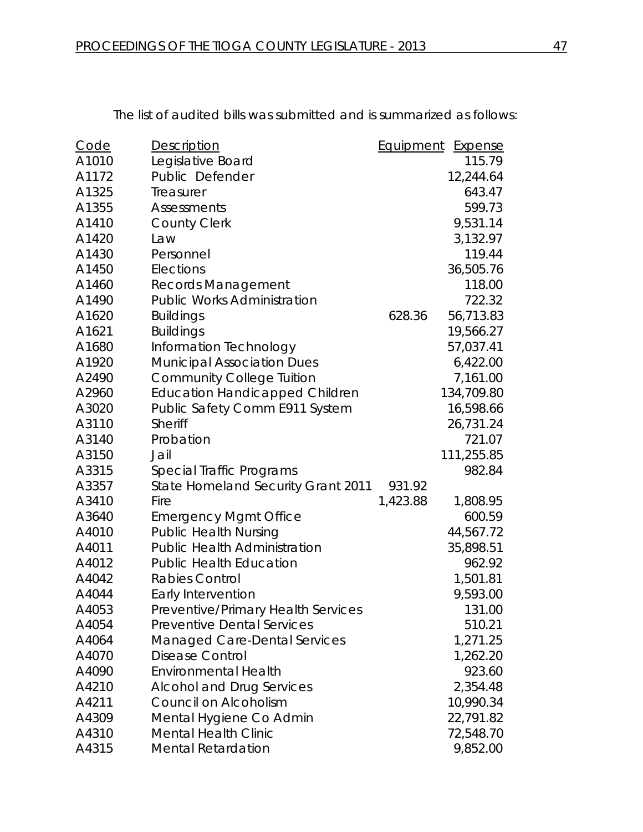Code Description **Equipment** Expense A1010 Legislative Board 115.79 A1172 Public Defender 12,244.64 A1325 Treasurer 643.47 A1355 Assessments 599.73 A1410 County Clerk 9,531.14 A1420 Law 2,132.97 A1430 Personnel 119.44 A1450 Elections 36,505.76 A1460 Records Management 118.00 A1490 Public Works Administration 722.32 A1620 Buildings 628.36 56,713.83 A1621 Buildings 19,566.27 A1680 Information Technology 57,037.41 A1920 Municipal Association Dues 6,422.00 A2490 Community College Tuition 7,161.00 A2960 Education Handicapped Children 134,709.80 A3020 Public Safety Comm E911 System 16,598.66 A3110 Sheriff 26,731.24 A3140 Probation 221.07 A3150 Jail 111,255.85 A3315 Special Traffic Programs 68315 982.84 A3357 State Homeland Security Grant 2011 931.92 A3410 Fire 1,423.88 1,808.95 A3640 Emergency Mgmt Office 600.59 A4010 Public Health Nursing 2008 144,567.72 A4011 Public Health Administration 35,898.51 A4012 Public Health Education **Public Health Education** 962.92 A4042 Rabies Control 1,501.81 A4044 Early Intervention 2008 120 PM 2014 12:00 A4053 Preventive/Primary Health Services 131.00 A4054 Preventive Dental Services 510.21 A4064 Managed Care-Dental Services 1,271.25 A4070 Disease Control 2006 1,262.20 A4090 Environmental Health 923.60 A4210 Alcohol and Drug Services 2,354.48 A4211 Council on Alcoholism 10,990.34 A4309 Mental Hygiene Co Admin 22,791.82 A4310 Mental Health Clinic **72,548.70** 

A4315 Mental Retardation 64315 Mental Retardation

The list of audited bills was submitted and is summarized as follows: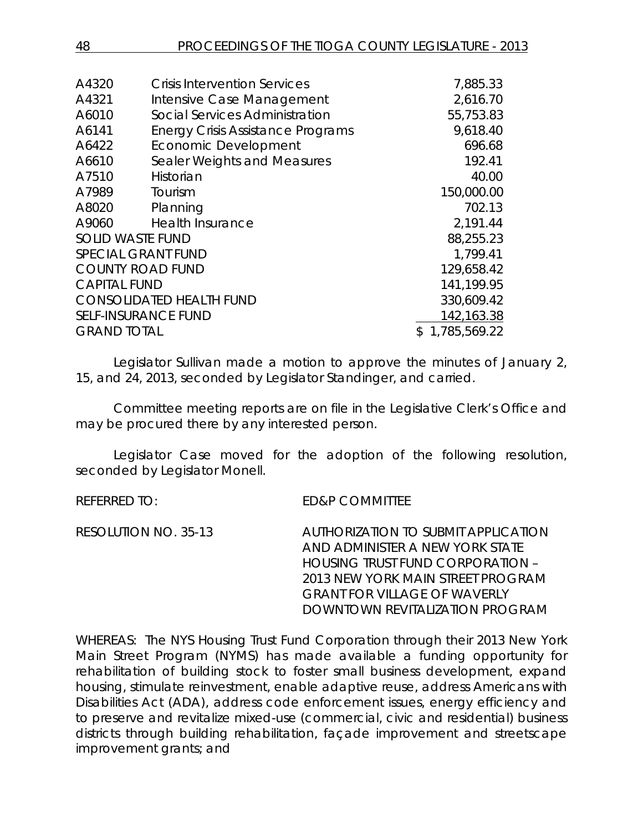| A4320                      | <b>Crisis Intervention Services</b>      | 7,885.33       |
|----------------------------|------------------------------------------|----------------|
|                            |                                          |                |
| A4321                      | Intensive Case Management                | 2,616.70       |
| A6010                      | Social Services Administration           | 55,753.83      |
| A6141                      | <b>Energy Crisis Assistance Programs</b> | 9,618.40       |
| A6422                      | <b>Economic Development</b>              | 696.68         |
| A6610                      | Sealer Weights and Measures              | 192.41         |
| A7510                      | Historian                                | 40.00          |
| A7989                      | Tourism                                  | 150,000.00     |
| A8020                      | Planning                                 | 702.13         |
| A9060                      | <b>Health Insurance</b>                  | 2,191.44       |
| <b>SOLID WASTE FUND</b>    |                                          | 88,255.23      |
| <b>SPECIAL GRANT FUND</b>  |                                          | 1,799.41       |
| <b>COUNTY ROAD FUND</b>    |                                          | 129,658.42     |
| <b>CAPITAL FUND</b>        |                                          | 141,199.95     |
|                            | <b>CONSOLIDATED HEALTH FUND</b>          | 330,609.42     |
| <b>SELF-INSURANCE FUND</b> |                                          | 142,163.38     |
| <b>GRAND TOTAL</b>         |                                          | \$1,785,569.22 |
|                            |                                          |                |

Legislator Sullivan made a motion to approve the minutes of January 2, 15, and 24, 2013, seconded by Legislator Standinger, and carried.

Committee meeting reports are on file in the Legislative Clerk's Office and may be procured there by any interested person.

Legislator Case moved for the adoption of the following resolution, seconded by Legislator Monell.

REFERRED TO: ED&P COMMITTEE RESOLUTION NO. 35-13 *AUTHORIZATION TO SUBMIT APPLICATION AND ADMINISTER A NEW YORK STATE HOUSING TRUST FUND CORPORATION – 2013 NEW YORK MAIN STREET PROGRAM GRANT FOR VILLAGE OF WAVERLY DOWNTOWN REVITALIZATION PROGRAM*

WHEREAS: The NYS Housing Trust Fund Corporation through their 2013 New York Main Street Program (NYMS) has made available a funding opportunity for rehabilitation of building stock to foster small business development, expand housing, stimulate reinvestment, enable adaptive reuse, address Americans with Disabilities Act (ADA), address code enforcement issues, energy efficiency and to preserve and revitalize mixed-use (commercial, civic and residential) business districts through building rehabilitation, façade improvement and streetscape improvement grants; and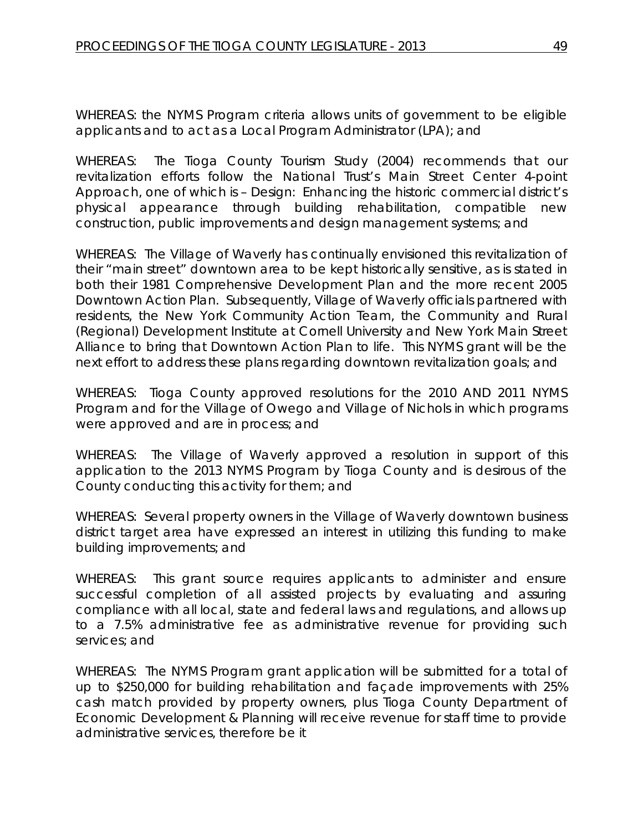WHEREAS: the NYMS Program criteria allows units of government to be eligible applicants and to act as a Local Program Administrator (LPA); and

WHEREAS: The Tioga County Tourism Study (2004) recommends that our revitalization efforts follow the National Trust's Main Street Center 4-point Approach, one of which is – Design: Enhancing the historic commercial district's physical appearance through building rehabilitation, compatible new construction, public improvements and design management systems; and

WHEREAS: The Village of Waverly has continually envisioned this revitalization of their "main street" downtown area to be kept historically sensitive, as is stated in both their 1981 Comprehensive Development Plan and the more recent 2005 Downtown Action Plan. Subsequently, Village of Waverly officials partnered with residents, the New York Community Action Team, the Community and Rural (Regional) Development Institute at Cornell University and New York Main Street Alliance to bring that Downtown Action Plan to life. This NYMS grant will be the next effort to address these plans regarding downtown revitalization goals; and

WHEREAS: Tioga County approved resolutions for the 2010 AND 2011 NYMS Program and for the Village of Owego and Village of Nichols in which programs were approved and are in process; and

WHEREAS: The Village of Waverly approved a resolution in support of this application to the 2013 NYMS Program by Tioga County and is desirous of the County conducting this activity for them; and

WHEREAS: Several property owners in the Village of Waverly downtown business district target area have expressed an interest in utilizing this funding to make building improvements; and

WHEREAS: This grant source requires applicants to administer and ensure successful completion of all assisted projects by evaluating and assuring compliance with all local, state and federal laws and regulations, and allows up to a 7.5% administrative fee as administrative revenue for providing such services; and

WHEREAS: The NYMS Program grant application will be submitted for a total of up to \$250,000 for building rehabilitation and façade improvements with 25% cash match provided by property owners, plus Tioga County Department of Economic Development & Planning will receive revenue for staff time to provide administrative services, therefore be it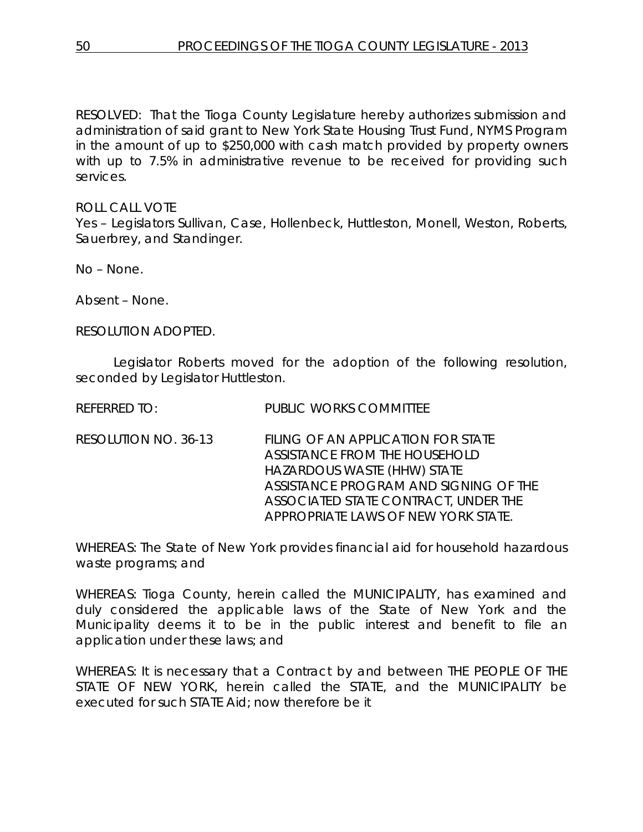RESOLVED: That the Tioga County Legislature hereby authorizes submission and administration of said grant to New York State Housing Trust Fund, NYMS Program in the amount of up to \$250,000 with cash match provided by property owners with up to 7.5% in administrative revenue to be received for providing such services.

ROLL CALL VOTE Yes – Legislators Sullivan, Case, Hollenbeck, Huttleston, Monell, Weston, Roberts, Sauerbrey, and Standinger.

No – None.

Absent – None.

RESOLUTION ADOPTED.

Legislator Roberts moved for the adoption of the following resolution, seconded by Legislator Huttleston.

REFERRED TO: PUBLIC WORKS COMMITTEE

RESOLUTION NO. 36-13 *FILING OF AN APPLICATION FOR STATE ASSISTANCE FROM THE HOUSEHOLD HAZARDOUS WASTE (HHW) STATE ASSISTANCE PROGRAM AND SIGNING OF THE ASSOCIATED STATE CONTRACT, UNDER THE APPROPRIATE LAWS OF NEW YORK STATE.*

WHEREAS: The State of New York provides financial aid for household hazardous waste programs; and

WHEREAS: Tioga County, herein called the MUNICIPALITY, has examined and duly considered the applicable laws of the State of New York and the Municipality deems it to be in the public interest and benefit to file an application under these laws; and

WHEREAS: It is necessary that a Contract by and between THE PEOPLE OF THE STATE OF NEW YORK, herein called the STATE, and the MUNICIPALITY be executed for such STATE Aid; now therefore be it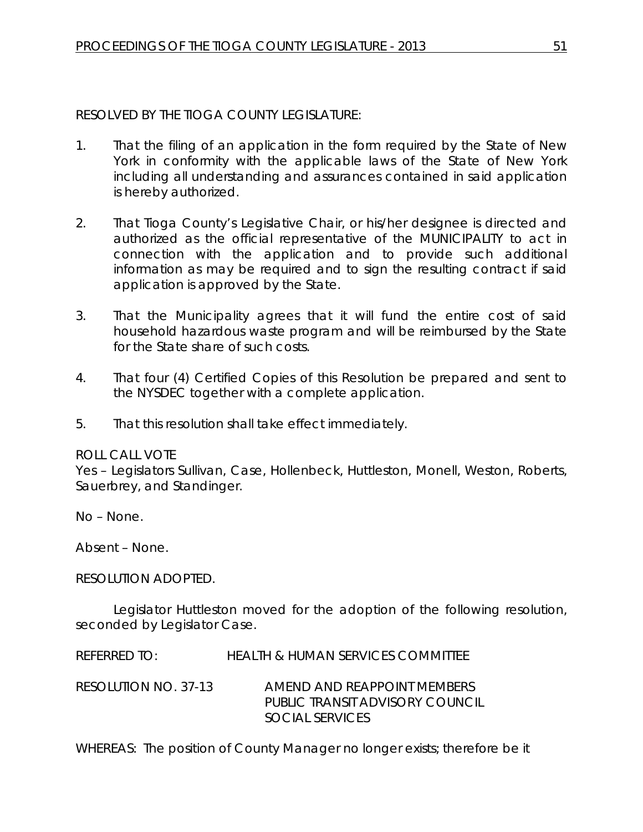## RESOLVED BY THE TIOGA COUNTY LEGISLATURE:

- 1. That the filing of an application in the form required by the State of New York in conformity with the applicable laws of the State of New York including all understanding and assurances contained in said application is hereby authorized.
- 2. That Tioga County's Legislative Chair, or his/her designee is directed and authorized as the official representative of the MUNICIPALITY to act in connection with the application and to provide such additional information as may be required and to sign the resulting contract if said application is approved by the State.
- 3. That the Municipality agrees that it will fund the entire cost of said household hazardous waste program and will be reimbursed by the State for the State share of such costs.
- 4. That four (4) Certified Copies of this Resolution be prepared and sent to the NYSDEC together with a complete application.
- 5. That this resolution shall take effect immediately.

### ROLL CALL VOTE

Yes – Legislators Sullivan, Case, Hollenbeck, Huttleston, Monell, Weston, Roberts, Sauerbrey, and Standinger.

No – None.

Absent – None.

### RESOLUTION ADOPTED.

Legislator Huttleston moved for the adoption of the following resolution, seconded by Legislator Case.

REFERRED TO: HEALTH & HUMAN SERVICES COMMITTEE

RESOLUTION NO. 37-13 *AMEND AND REAPPOINT MEMBERS PUBLIC TRANSIT ADVISORY COUNCIL SOCIAL SERVICES*

WHEREAS: The position of County Manager no longer exists; therefore be it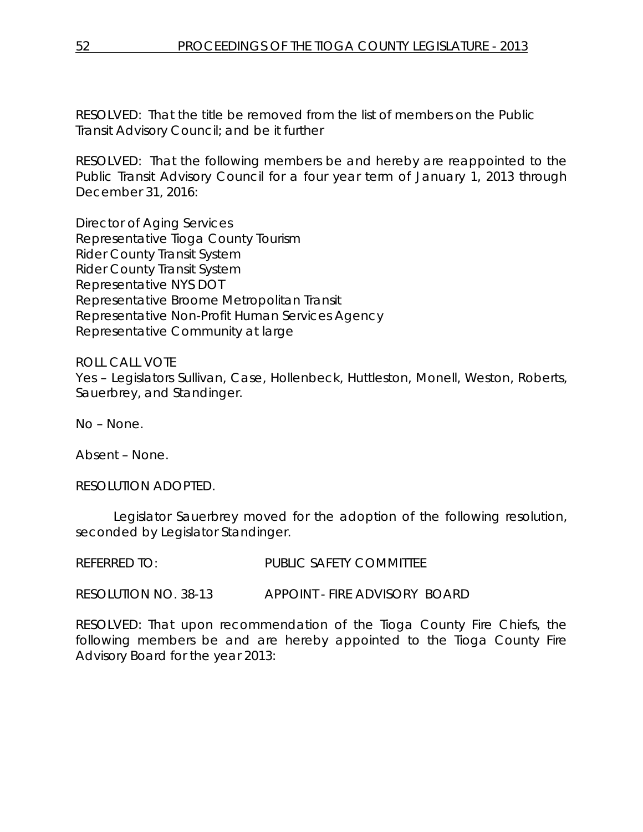RESOLVED: That the title be removed from the list of members on the Public Transit Advisory Council; and be it further

RESOLVED: That the following members be and hereby are reappointed to the Public Transit Advisory Council for a four year term of January 1, 2013 through December 31, 2016:

Director of Aging Services Representative Tioga County Tourism Rider County Transit System Rider County Transit System Representative NYS DOT Representative Broome Metropolitan Transit Representative Non-Profit Human Services Agency Representative Community at large

ROLL CALL VOTE Yes – Legislators Sullivan, Case, Hollenbeck, Huttleston, Monell, Weston, Roberts, Sauerbrey, and Standinger.

No – None.

Absent – None.

RESOLUTION ADOPTED.

Legislator Sauerbrey moved for the adoption of the following resolution, seconded by Legislator Standinger.

REFERRED TO: PUBLIC SAFETY COMMITTEE

RESOLUTION NO. 38-13 *APPOINT - FIRE ADVISORY BOARD*

RESOLVED: That upon recommendation of the Tioga County Fire Chiefs, the following members be and are hereby appointed to the Tioga County Fire Advisory Board for the year 2013: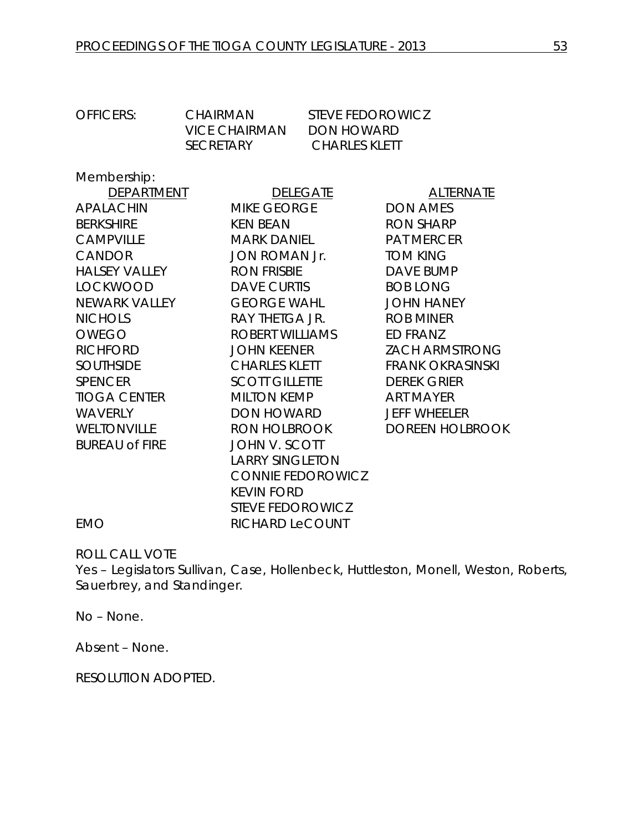| <b>OFFICERS:</b>      | <b>CHAIRMAN</b><br><b>VICE CHAIRMAN</b> | <b>STEVE FEDOROWICZ</b><br><b>DON HOWARD</b> |                         |
|-----------------------|-----------------------------------------|----------------------------------------------|-------------------------|
|                       | SECRETARY                               | <b>CHARLES KLETT</b>                         |                         |
| Membership:           |                                         |                                              |                         |
| DEPARTMENT            |                                         | <b>DELEGATE</b>                              | <b>ALTERNATE</b>        |
| <b>APALACHIN</b>      | MIKE GEORGE                             |                                              | <b>DON AMES</b>         |
| <b>BERKSHIRE</b>      | <b>KEN BEAN</b>                         |                                              | <b>RON SHARP</b>        |
| <b>CAMPVILLE</b>      | <b>MARK DANIEL</b>                      |                                              | <b>PAT MERCER</b>       |
| CANDOR                | JON ROMAN Jr.                           |                                              | <b>TOM KING</b>         |
| <b>HALSEY VALLEY</b>  | <b>RON FRISBIE</b>                      |                                              | <b>DAVE BUMP</b>        |
| <b>LOCKWOOD</b>       | <b>DAVE CURTIS</b>                      |                                              | <b>BOB LONG</b>         |
| NEWARK VALLEY         | <b>GEORGE WAHL</b>                      |                                              | <b>JOHN HANEY</b>       |
| <b>NICHOLS</b>        | RAY THETGA JR.                          |                                              | <b>ROB MINER</b>        |
| <b>OWEGO</b>          | ROBERT WILLIAMS                         |                                              | ED FRANZ                |
| <b>RICHFORD</b>       | <b>JOHN KEENER</b>                      |                                              | <b>ZACH ARMSTRONG</b>   |
| <b>SOUTHSIDE</b>      | <b>CHARLES KLETT</b>                    |                                              | <b>FRANK OKRASINSKI</b> |
| <b>SPENCER</b>        | <b>SCOTT GILLETTE</b>                   |                                              | <b>DEREK GRIER</b>      |
| <b>TIOGA CENTER</b>   | MILTON KEMP                             |                                              | <b>ART MAYER</b>        |
| <b>WAVERLY</b>        | DON HOWARD                              |                                              | <b>JEFF WHEELER</b>     |
| <b>WELTONVILLE</b>    | RON HOLBROOK                            |                                              | <b>DOREEN HOLBROOK</b>  |
| <b>BUREAU of FIRE</b> | <b>JOHN V. SCOTT</b>                    |                                              |                         |
|                       | <b>LARRY SINGLETON</b>                  |                                              |                         |
|                       |                                         | <b>CONNIE FEDOROWICZ</b>                     |                         |
|                       | <b>KEVIN FORD</b>                       |                                              |                         |
|                       | <b>STEVE FEDOROWICZ</b>                 |                                              |                         |

EMO RICHARD LeCOUNT

ROLL CALL VOTE

Yes – Legislators Sullivan, Case, Hollenbeck, Huttleston, Monell, Weston, Roberts, Sauerbrey, and Standinger.

No – None.

Absent – None.

RESOLUTION ADOPTED.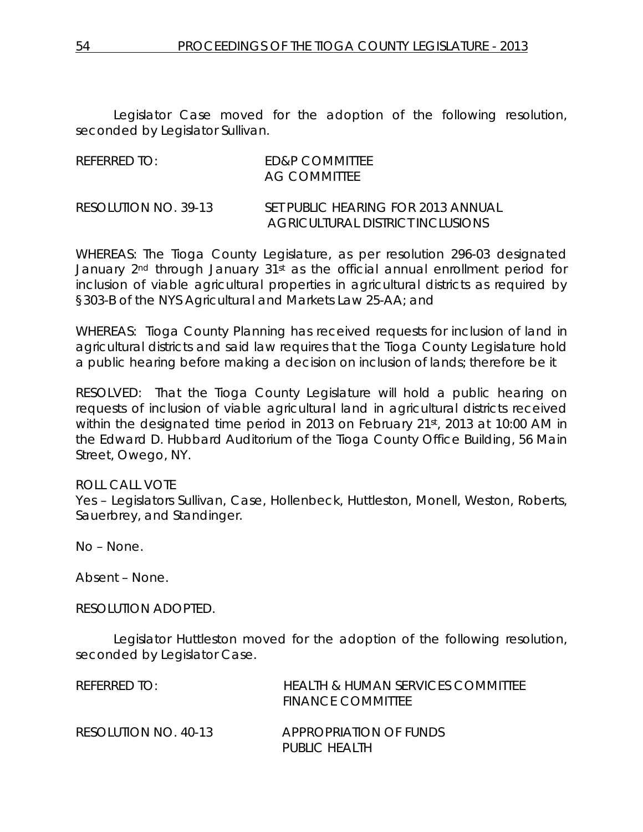Legislator Case moved for the adoption of the following resolution, seconded by Legislator Sullivan.

| referred to:                        | ED&P COMMITTEE<br>AG COMMITTEE     |
|-------------------------------------|------------------------------------|
| $DFA$ $D111T1$ $D1111$ $D12$ $D231$ | $CFT$ DUDLLO UF A DIALO FOR 2010 A |

RESOLUTION NO. 39-13 *SET PUBLIC HEARING FOR 2013 ANNUAL AGRICULTURAL DISTRICT INCLUSIONS*

WHEREAS: The Tioga County Legislature, as per resolution 296-03 designated January 2<sup>nd</sup> through January 31<sup>st</sup> as the official annual enrollment period for inclusion of viable agricultural properties in agricultural districts as required by §303-B of the NYS Agricultural and Markets Law 25-AA; and

WHEREAS: Tioga County Planning has received requests for inclusion of land in agricultural districts and said law requires that the Tioga County Legislature hold a public hearing before making a decision on inclusion of lands; therefore be it

RESOLVED: That the Tioga County Legislature will hold a public hearing on requests of inclusion of viable agricultural land in agricultural districts received within the designated time period in 2013 on February 21st, 2013 at 10:00 AM in the Edward D. Hubbard Auditorium of the Tioga County Office Building, 56 Main Street, Owego, NY.

ROLL CALL VOTE Yes – Legislators Sullivan, Case, Hollenbeck, Huttleston, Monell, Weston, Roberts, Sauerbrey, and Standinger.

No – None.

Absent – None.

RESOLUTION ADOPTED.

Legislator Huttleston moved for the adoption of the following resolution, seconded by Legislator Case.

| REFERRED TO:         | <b>HEALTH &amp; HUMAN SERVICES COMMITTEE</b><br><b>FINANCE COMMITTEE</b> |
|----------------------|--------------------------------------------------------------------------|
| RESOLUTION NO. 40-13 | APPROPRIATION OF FUNDS<br>PUBLIC HEALTH                                  |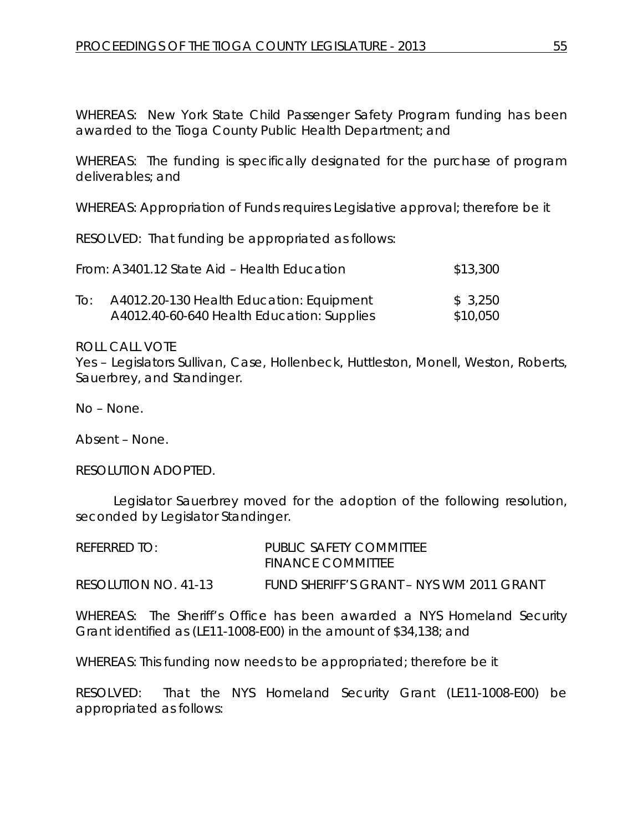WHEREAS: New York State Child Passenger Safety Program funding has been awarded to the Tioga County Public Health Department; and

WHEREAS: The funding is specifically designated for the purchase of program deliverables; and

WHEREAS: Appropriation of Funds requires Legislative approval; therefore be it

RESOLVED: That funding be appropriated as follows:

|     | From: A3401.12 State Aid - Health Education | \$13,300 |
|-----|---------------------------------------------|----------|
| lo: | A4012.20-130 Health Education: Equipment    | \$3,250  |
|     | A4012.40-60-640 Health Education: Supplies  | \$10,050 |

ROLL CALL VOTE

Yes – Legislators Sullivan, Case, Hollenbeck, Huttleston, Monell, Weston, Roberts, Sauerbrey, and Standinger.

No – None.

Absent – None.

RESOLUTION ADOPTED.

Legislator Sauerbrey moved for the adoption of the following resolution, seconded by Legislator Standinger.

| REFERRED TO:         | PUBLIC SAFETY COMMITTEE<br><b>FINANCE COMMITTEE</b> |
|----------------------|-----------------------------------------------------|
| RESOLUTION NO. 41-13 | FUND SHERIFF'S GRANT – NYS WM 2011 GRANT            |

WHEREAS: The Sheriff's Office has been awarded a NYS Homeland Security Grant identified as (LE11-1008-E00) in the amount of \$34,138; and

WHEREAS: This funding now needs to be appropriated; therefore be it

RESOLVED: That the NYS Homeland Security Grant (LE11-1008-E00) be appropriated as follows: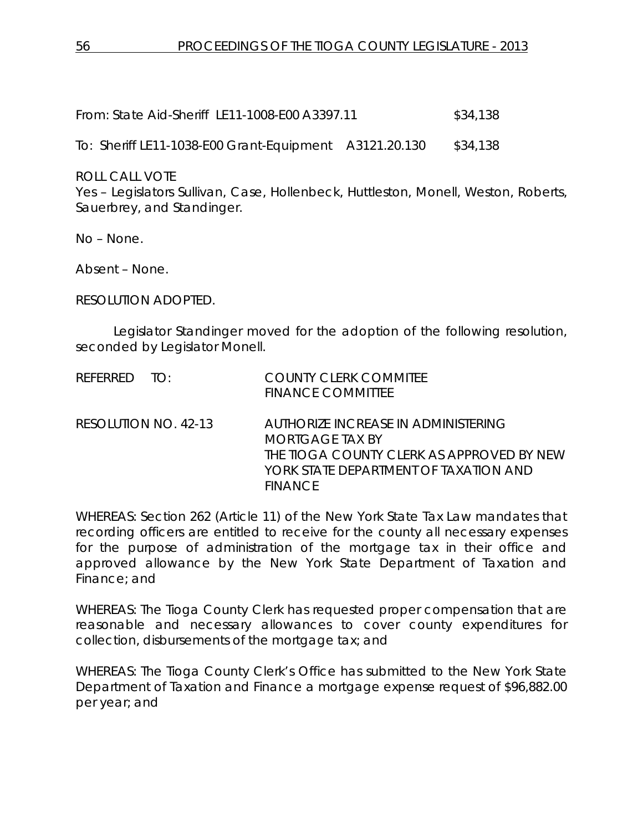From: State Aid-Sheriff LE11-1008-E00 A3397.11 \$34,138

To: Sheriff LE11-1038-E00 Grant-Equipment A3121.20.130 \$34,138

ROLL CALL VOTE

Yes – Legislators Sullivan, Case, Hollenbeck, Huttleston, Monell, Weston, Roberts, Sauerbrey, and Standinger.

No – None.

Absent – None.

RESOLUTION ADOPTED.

Legislator Standinger moved for the adoption of the following resolution, seconded by Legislator Monell.

| REFERRED TO:         | <b>COUNTY CLERK COMMITEE</b><br><b>FINANCE COMMITTEE</b>                                                                                                       |
|----------------------|----------------------------------------------------------------------------------------------------------------------------------------------------------------|
| RESOLUTION NO. 42-13 | AUTHORIZE INCREASE IN ADMINISTERING<br>MORIGAGE TAX BY<br>THE TIOGA COUNTY CLERK AS APPROVED BY NEW<br>YORK STATE DEPARTMENT OF TAXATION AND<br><b>FINANCE</b> |

WHEREAS: Section 262 (Article 11) of the New York State Tax Law mandates that recording officers are entitled to receive for the county all necessary expenses for the purpose of administration of the mortgage tax in their office and approved allowance by the New York State Department of Taxation and Finance; and

WHEREAS: The Tioga County Clerk has requested proper compensation that are reasonable and necessary allowances to cover county expenditures for collection, disbursements of the mortgage tax; and

WHEREAS: The Tioga County Clerk's Office has submitted to the New York State Department of Taxation and Finance a mortgage expense request of \$96,882.00 per year; and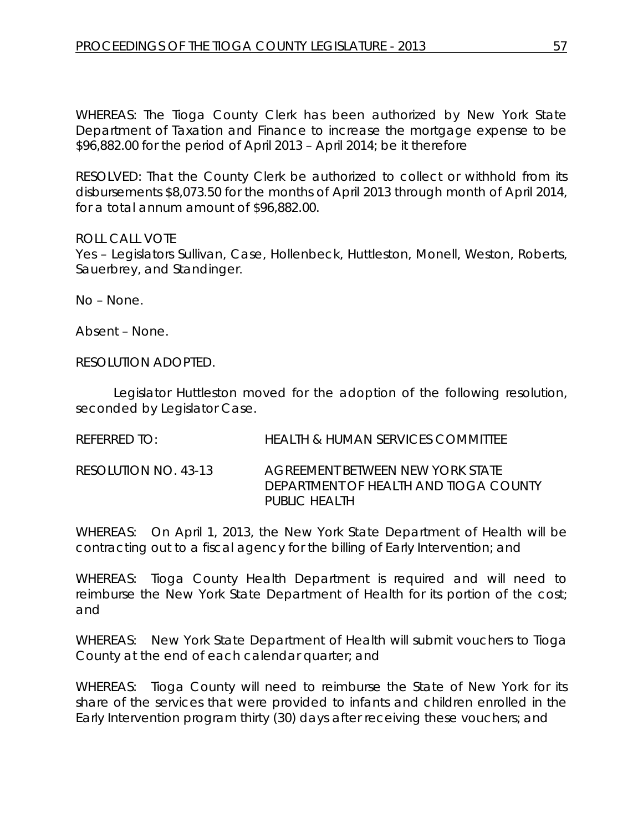WHEREAS: The Tioga County Clerk has been authorized by New York State Department of Taxation and Finance to increase the mortgage expense to be \$96,882.00 for the period of April 2013 – April 2014; be it therefore

RESOLVED: That the County Clerk be authorized to collect or withhold from its disbursements \$8,073.50 for the months of April 2013 through month of April 2014, for a total annum amount of \$96,882.00.

ROLL CALL VOTE

Yes – Legislators Sullivan, Case, Hollenbeck, Huttleston, Monell, Weston, Roberts, Sauerbrey, and Standinger.

No – None.

Absent – None.

RESOLUTION ADOPTED.

Legislator Huttleston moved for the adoption of the following resolution, seconded by Legislator Case.

REFERRED TO: HEALTH & HUMAN SERVICES COMMITTEE

RESOLUTION NO. 43-13 *AGREEMENT BETWEEN NEW YORK STATE DEPARTMENT OF HEALTH AND TIOGA COUNTY PUBLIC HEALTH*

WHEREAS: On April 1, 2013, the New York State Department of Health will be contracting out to a fiscal agency for the billing of Early Intervention; and

WHEREAS: Tioga County Health Department is required and will need to reimburse the New York State Department of Health for its portion of the cost; and

WHEREAS: New York State Department of Health will submit vouchers to Tioga County at the end of each calendar quarter; and

WHEREAS: Tioga County will need to reimburse the State of New York for its share of the services that were provided to infants and children enrolled in the Early Intervention program thirty (30) days after receiving these vouchers; and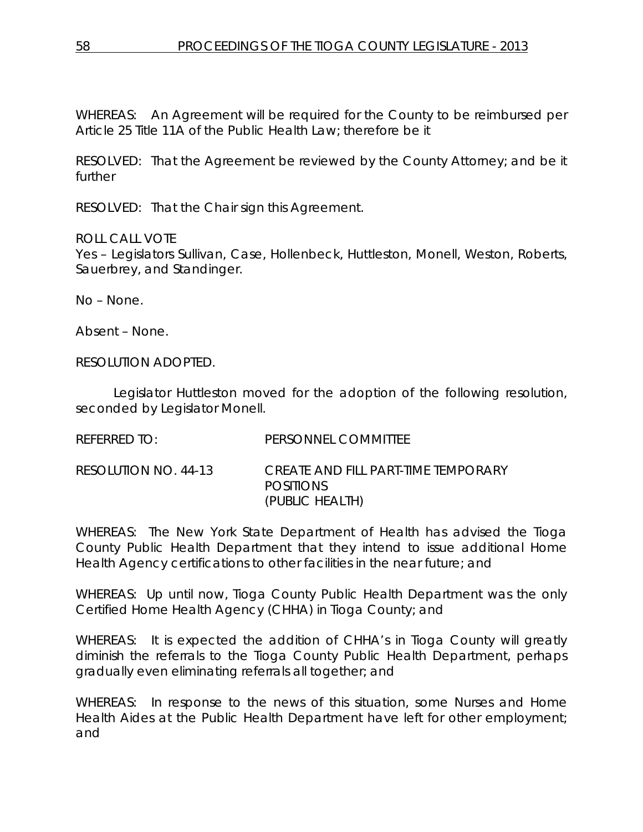WHEREAS: An Agreement will be required for the County to be reimbursed per Article 25 Title 11A of the Public Health Law; therefore be it

RESOLVED: That the Agreement be reviewed by the County Attorney; and be it further

RESOLVED: That the Chair sign this Agreement.

ROLL CALL VOTE

Yes – Legislators Sullivan, Case, Hollenbeck, Huttleston, Monell, Weston, Roberts, Sauerbrey, and Standinger.

No – None.

Absent – None.

RESOLUTION ADOPTED.

Legislator Huttleston moved for the adoption of the following resolution, seconded by Legislator Monell.

| REFERRED TO:         | PERSONNEL COMMITTEE                                                        |
|----------------------|----------------------------------------------------------------------------|
| RESOLUTION NO. 44-13 | CREATE AND FILL PART-TIME TEMPORARY<br><b>POSITIONS</b><br>(PUBLIC HEALTH) |

WHEREAS: The New York State Department of Health has advised the Tioga County Public Health Department that they intend to issue additional Home Health Agency certifications to other facilities in the near future; and

WHEREAS: Up until now, Tioga County Public Health Department was the only Certified Home Health Agency (CHHA) in Tioga County; and

WHEREAS: It is expected the addition of CHHA's in Tioga County will greatly diminish the referrals to the Tioga County Public Health Department, perhaps gradually even eliminating referrals all together; and

WHEREAS: In response to the news of this situation, some Nurses and Home Health Aides at the Public Health Department have left for other employment; and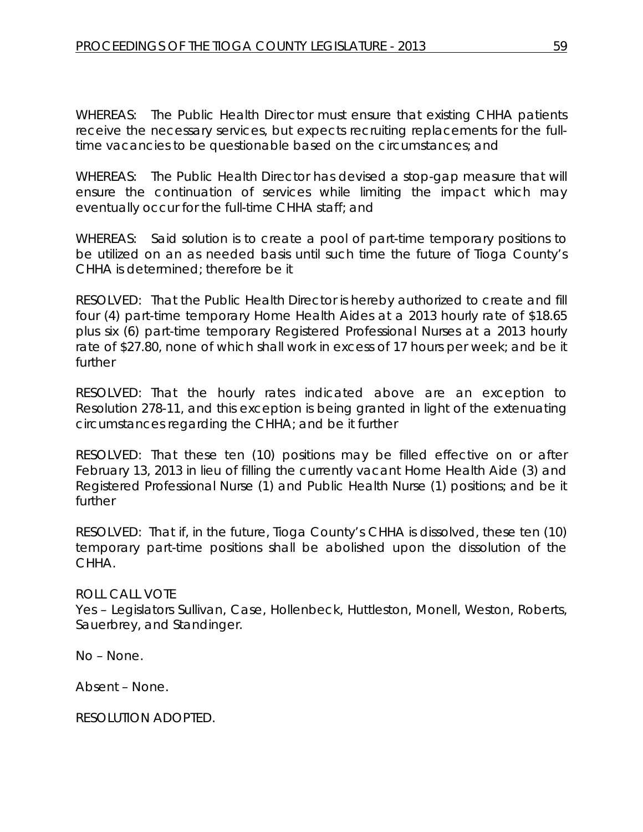WHEREAS: The Public Health Director must ensure that existing CHHA patients receive the necessary services, but expects recruiting replacements for the fulltime vacancies to be questionable based on the circumstances; and

WHEREAS: The Public Health Director has devised a stop-gap measure that will ensure the continuation of services while limiting the impact which may eventually occur for the full-time CHHA staff; and

WHEREAS: Said solution is to create a pool of part-time temporary positions to be utilized on an as needed basis until such time the future of Tioga County's CHHA is determined; therefore be it

RESOLVED: That the Public Health Director is hereby authorized to create and fill four (4) part-time temporary Home Health Aides at a 2013 hourly rate of \$18.65 plus six (6) part-time temporary Registered Professional Nurses at a 2013 hourly rate of \$27.80, none of which shall work in excess of 17 hours per week; and be it further

RESOLVED: That the hourly rates indicated above are an exception to Resolution 278-11, and this exception is being granted in light of the extenuating circumstances regarding the CHHA; and be it further

RESOLVED: That these ten (10) positions may be filled effective on or after February 13, 2013 in lieu of filling the currently vacant Home Health Aide (3) and Registered Professional Nurse (1) and Public Health Nurse (1) positions; and be it further

RESOLVED: That if, in the future, Tioga County's CHHA is dissolved, these ten (10) temporary part-time positions shall be abolished upon the dissolution of the CHHA.

### ROLL CALL VOTE

Yes – Legislators Sullivan, Case, Hollenbeck, Huttleston, Monell, Weston, Roberts, Sauerbrey, and Standinger.

No – None.

Absent – None.

RESOLUTION ADOPTED.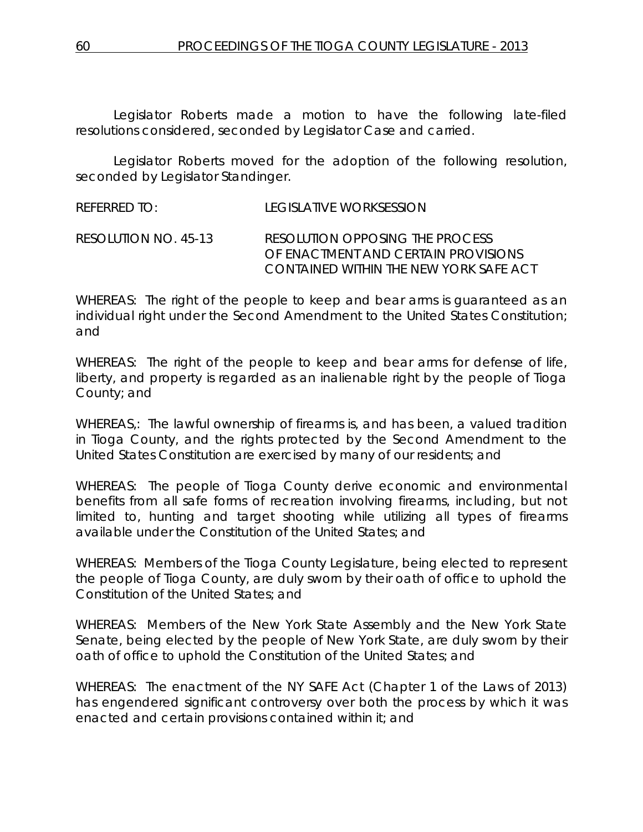Legislator Roberts made a motion to have the following late-filed resolutions considered, seconded by Legislator Case and carried.

Legislator Roberts moved for the adoption of the following resolution, seconded by Legislator Standinger.

REFERRED TO: LEGISLATIVE WORKSESSION

RESOLUTION NO. 45-13 *RESOLUTION OPPOSING THE PROCESS OF ENACTMENT AND CERTAIN PROVISIONS CONTAINED WITHIN THE NEW YORK SAFE ACT*

WHEREAS: The right of the people to keep and bear arms is guaranteed as an individual right under the Second Amendment to the United States Constitution; and

WHEREAS: The right of the people to keep and bear arms for defense of life, liberty, and property is regarded as an inalienable right by the people of Tioga County; and

WHEREAS,: The lawful ownership of firearms is, and has been, a valued tradition in Tioga County, and the rights protected by the Second Amendment to the United States Constitution are exercised by many of our residents; and

WHEREAS: The people of Tioga County derive economic and environmental benefits from all safe forms of recreation involving firearms, including, but not limited to, hunting and target shooting while utilizing all types of firearms available under the Constitution of the United States; and

WHEREAS: Members of the Tioga County Legislature, being elected to represent the people of Tioga County, are duly sworn by their oath of office to uphold the Constitution of the United States; and

WHEREAS: Members of the New York State Assembly and the New York State Senate, being elected by the people of New York State, are duly sworn by their oath of office to uphold the Constitution of the United States; and

WHEREAS: The enactment of the NY SAFE Act (Chapter 1 of the Laws of 2013) has engendered significant controversy over both the process by which it was enacted and certain provisions contained within it; and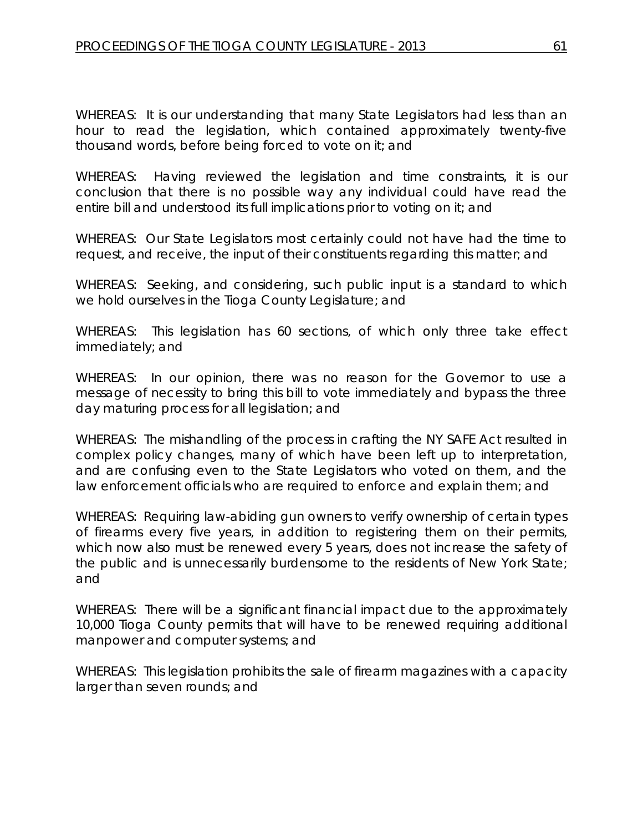WHEREAS: It is our understanding that many State Legislators had less than an hour to read the legislation, which contained approximately twenty-five thousand words, before being forced to vote on it; and

WHEREAS: Having reviewed the legislation and time constraints, it is our conclusion that there is no possible way any individual could have read the entire bill and understood its full implications prior to voting on it; and

WHEREAS: Our State Legislators most certainly could not have had the time to request, and receive, the input of their constituents regarding this matter; and

WHEREAS: Seeking, and considering, such public input is a standard to which we hold ourselves in the Tioga County Legislature; and

WHEREAS: This legislation has 60 sections, of which only three take effect immediately; and

WHEREAS: In our opinion, there was no reason for the Governor to use a message of necessity to bring this bill to vote immediately and bypass the three day maturing process for all legislation; and

WHEREAS: The mishandling of the process in crafting the NY SAFE Act resulted in complex policy changes, many of which have been left up to interpretation, and are confusing even to the State Legislators who voted on them, and the law enforcement officials who are required to enforce and explain them; and

WHEREAS: Requiring law-abiding gun owners to verify ownership of certain types of firearms every five years, in addition to registering them on their permits, which now also must be renewed every 5 years, does not increase the safety of the public and is unnecessarily burdensome to the residents of New York State; and

WHEREAS: There will be a significant financial impact due to the approximately 10,000 Tioga County permits that will have to be renewed requiring additional manpower and computer systems; and

WHEREAS: This legislation prohibits the sale of firearm magazines with a capacity larger than seven rounds; and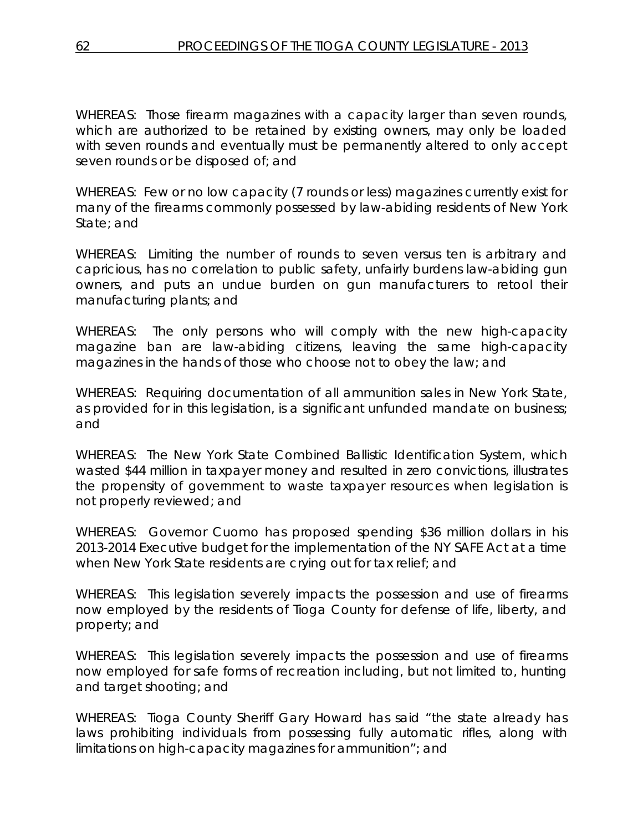WHEREAS: Those firearm magazines with a capacity larger than seven rounds, which are authorized to be retained by existing owners, may only be loaded with seven rounds and eventually must be permanently altered to only accept seven rounds or be disposed of; and

WHEREAS: Few or no low capacity (7 rounds or less) magazines currently exist for many of the firearms commonly possessed by law-abiding residents of New York State; and

WHEREAS: Limiting the number of rounds to seven versus ten is arbitrary and capricious, has no correlation to public safety, unfairly burdens law-abiding gun owners, and puts an undue burden on gun manufacturers to retool their manufacturing plants; and

WHEREAS: The only persons who will comply with the new high-capacity magazine ban are law-abiding citizens, leaving the same high-capacity magazines in the hands of those who choose not to obey the law; and

WHEREAS: Requiring documentation of all ammunition sales in New York State, as provided for in this legislation, is a significant unfunded mandate on business; and

WHEREAS: The New York State Combined Ballistic Identification System, which wasted \$44 million in taxpayer money and resulted in zero convictions, illustrates the propensity of government to waste taxpayer resources when legislation is not properly reviewed; and

WHEREAS: Governor Cuomo has proposed spending \$36 million dollars in his 2013-2014 Executive budget for the implementation of the NY SAFE Act at a time when New York State residents are crying out for tax relief; and

WHEREAS: This legislation severely impacts the possession and use of firearms now employed by the residents of Tioga County for defense of life, liberty, and property; and

WHEREAS: This legislation severely impacts the possession and use of firearms now employed for safe forms of recreation including, but not limited to, hunting and target shooting; and

WHEREAS: Tioga County Sheriff Gary Howard has said "the state already has laws prohibiting individuals from possessing fully automatic rifles, along with limitations on high-capacity magazines for ammunition"; and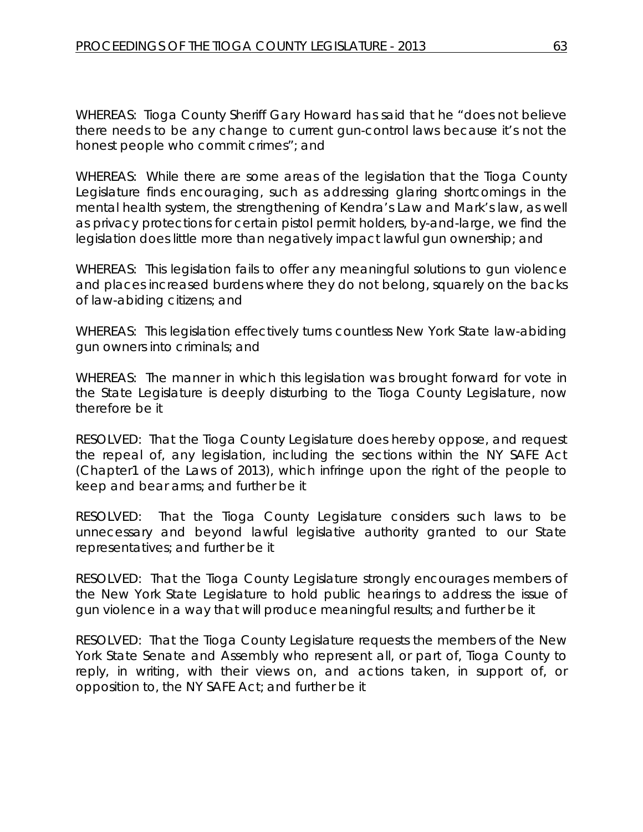WHEREAS: Tioga County Sheriff Gary Howard has said that he "does not believe there needs to be any change to current gun-control laws because it's not the honest people who commit crimes"; and

WHEREAS: While there are some areas of the legislation that the Tioga County Legislature finds encouraging, such as addressing glaring shortcomings in the mental health system, the strengthening of Kendra's Law and Mark's law, as well as privacy protections for certain pistol permit holders, by-and-large, we find the legislation does little more than negatively impact lawful gun ownership; and

WHEREAS: This legislation fails to offer any meaningful solutions to gun violence and places increased burdens where they do not belong, squarely on the backs of law-abiding citizens; and

WHEREAS: This legislation effectively turns countless New York State law-abiding gun owners into criminals; and

WHEREAS: The manner in which this legislation was brought forward for vote in the State Legislature is deeply disturbing to the Tioga County Legislature, now therefore be it

RESOLVED: That the Tioga County Legislature does hereby oppose, and request the repeal of, any legislation, including the sections within the NY SAFE Act (Chapter1 of the Laws of 2013), which infringe upon the right of the people to keep and bear arms; and further be it

RESOLVED: That the Tioga County Legislature considers such laws to be unnecessary and beyond lawful legislative authority granted to our State representatives; and further be it

RESOLVED: That the Tioga County Legislature strongly encourages members of the New York State Legislature to hold public hearings to address the issue of gun violence in a way that will produce meaningful results; and further be it

RESOLVED: That the Tioga County Legislature requests the members of the New York State Senate and Assembly who represent all, or part of, Tioga County to reply, in writing, with their views on, and actions taken, in support of, or opposition to, the NY SAFE Act; and further be it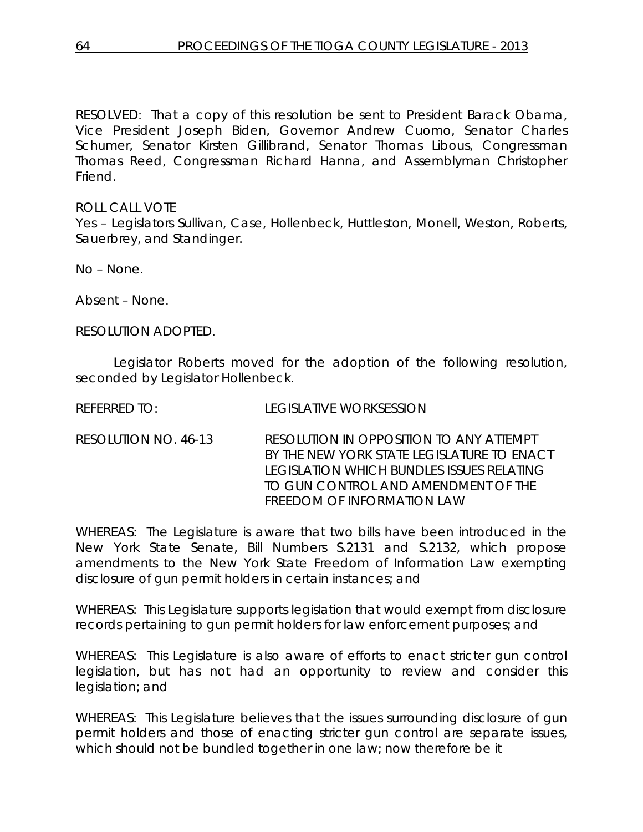RESOLVED: That a copy of this resolution be sent to President Barack Obama, Vice President Joseph Biden, Governor Andrew Cuomo, Senator Charles Schumer, Senator Kirsten Gillibrand, Senator Thomas Libous, Congressman Thomas Reed, Congressman Richard Hanna, and Assemblyman Christopher Friend.

ROLL CALL VOTE Yes – Legislators Sullivan, Case, Hollenbeck, Huttleston, Monell, Weston, Roberts, Sauerbrey, and Standinger.

No – None.

Absent – None.

RESOLUTION ADOPTED.

Legislator Roberts moved for the adoption of the following resolution, seconded by Legislator Hollenbeck.

REFERRED TO: LEGISLATIVE WORKSESSION

RESOLUTION NO. 46-13 *RESOLUTION IN OPPOSITION TO ANY ATTEMPT BY THE NEW YORK STATE LEGISLATURE TO ENACT LEGISLATION WHICH BUNDLES ISSUES RELATING TO GUN CONTROL AND AMENDMENT OF THE FREEDOM OF INFORMATION LAW*

WHEREAS: The Legislature is aware that two bills have been introduced in the New York State Senate, Bill Numbers S.2131 and S.2132, which propose amendments to the New York State Freedom of Information Law exempting disclosure of gun permit holders in certain instances; and

WHEREAS: This Legislature supports legislation that would exempt from disclosure records pertaining to gun permit holders for law enforcement purposes; and

WHEREAS: This Legislature is also aware of efforts to enact stricter gun control legislation, but has not had an opportunity to review and consider this legislation; and

WHEREAS: This Legislature believes that the issues surrounding disclosure of gun permit holders and those of enacting stricter gun control are separate issues, which should not be bundled together in one law; now therefore be it